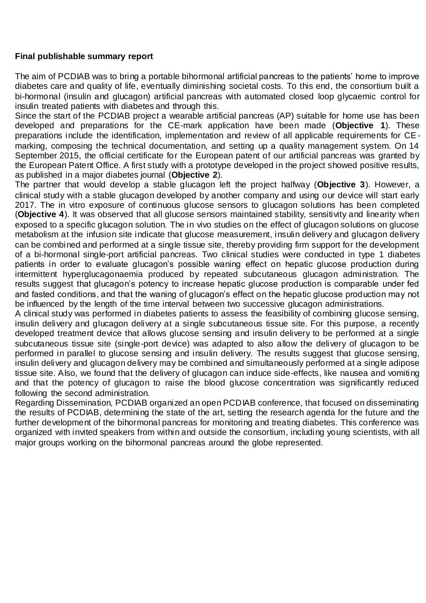## **Final publishable summary report**

The aim of PCDIAB was to bring a portable bihormonal artificial pancreas to the patients' home to improve diabetes care and quality of life, eventually diminishing societal costs. To this end, the consortium built a bi-hormonal (insulin and glucagon) artificial pancreas with automated closed loop glycaemic control for insulin treated patients with diabetes and through this.

Since the start of the PCDIAB project a wearable artificial pancreas (AP) suitable for home use has been developed and preparations for the CE-mark application have been made (**Objective 1**). These preparations include the identification, implementation and review of all applicable requirements for CEmarking, composing the technical documentation, and setting up a quality management system. On 14 September 2015, the official certificate for the European patent of our artificial pancreas was granted by the European Patent Office. A first study with a prototype developed in the project showed positive results, as published in a major diabetes journal (**Objective 2**).

The partner that would develop a stable glucagon left the project halfway (**Objective 3**). However, a clinical study with a stable glucagon developed by another company and using our device will start early 2017. The in vitro exposure of continuous glucose sensors to glucagon solutions has been completed (**Objective 4**). It was observed that all glucose sensors maintained stability, sensitivity and linearity when exposed to a specific glucagon solution. The in vivo studies on the effect of glucagon solutions on glucose metabolism at the infusion site indicate that glucose measurement, insulin delivery and glucagon delivery can be combined and performed at a single tissue site, thereby providing firm support for the development of a bi-hormonal single-port artificial pancreas. Two clinical studies were conducted in type 1 diabetes patients in order to evaluate glucagon's possible waning effect on hepatic glucose production during intermittent hyperglucagonaemia produced by repeated subcutaneous glucagon administration. The results suggest that glucagon's potency to increase hepatic glucose production is comparable under fed and fasted conditions, and that the waning of glucagon's effect on the hepatic glucose production may not be influenced by the length of the time interval between two successive glucagon administrations.

A clinical study was performed in diabetes patients to assess the feasibility of combining glucose sensing, insulin delivery and glucagon delivery at a single subcutaneous tissue site. For this purpose, a recently developed treatment device that allows glucose sensing and insulin delivery to be performed at a single subcutaneous tissue site (single-port device) was adapted to also allow the delivery of glucagon to be performed in parallel to glucose sensing and insulin delivery. The results suggest that glucose sensing, insulin delivery and glucagon delivery may be combined and simultaneously performed at a single adipose tissue site. Also, we found that the delivery of glucagon can induce side-effects, like nausea and vomiting and that the potency of glucagon to raise the blood glucose concentration was significantly reduced following the second administration.

Regarding Dissemination, PCDIAB organized an open PCDIAB conference, that focused on disseminating the results of PCDIAB, determining the state of the art, setting the research agenda for the future and the further development of the bihormonal pancreas for monitoring and treating diabetes. This conference was organized with invited speakers from within and outside the consortium, including young scientists, with all major groups working on the bihormonal pancreas around the globe represented.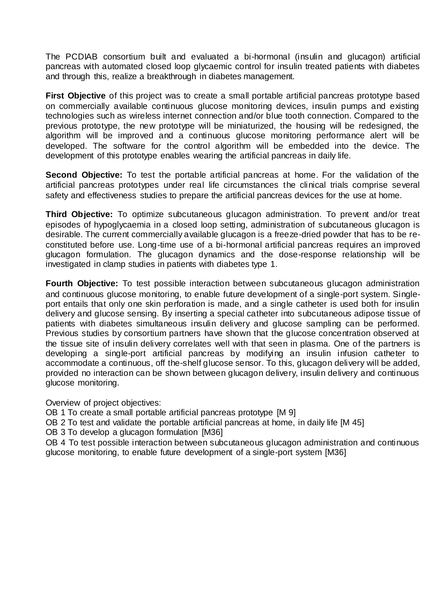The PCDIAB consortium built and evaluated a bi-hormonal (insulin and glucagon) artificial pancreas with automated closed loop glycaemic control for insulin treated patients with diabetes and through this, realize a breakthrough in diabetes management.

**First Objective** of this project was to create a small portable artificial pancreas prototype based on commercially available continuous glucose monitoring devices, insulin pumps and existing technologies such as wireless internet connection and/or blue tooth connection. Compared to the previous prototype, the new prototype will be miniaturized, the housing will be redesigned, the algorithm will be improved and a continuous glucose monitoring performance alert will be developed. The software for the control algorithm will be embedded into the device. The development of this prototype enables wearing the artificial pancreas in daily life.

**Second Objective:** To test the portable artificial pancreas at home. For the validation of the artificial pancreas prototypes under real life circumstances the clinical trials comprise several safety and effectiveness studies to prepare the artificial pancreas devices for the use at home.

**Third Objective:** To optimize subcutaneous glucagon administration. To prevent and/or treat episodes of hypoglycaemia in a closed loop setting, administration of subcutaneous glucagon is desirable. The current commercially available glucagon is a freeze-dried powder that has to be reconstituted before use. Long-time use of a bi-hormonal artificial pancreas requires an improved glucagon formulation. The glucagon dynamics and the dose-response relationship will be investigated in clamp studies in patients with diabetes type 1.

**Fourth Objective:** To test possible interaction between subcutaneous glucagon administration and continuous glucose monitoring, to enable future development of a single-port system. Singleport entails that only one skin perforation is made, and a single catheter is used both for insulin delivery and glucose sensing. By inserting a special catheter into subcutaneous adipose tissue of patients with diabetes simultaneous insulin delivery and glucose sampling can be performed. Previous studies by consortium partners have shown that the glucose concentration observed at the tissue site of insulin delivery correlates well with that seen in plasma. One of the partners is developing a single-port artificial pancreas by modifying an insulin infusion catheter to accommodate a continuous, off the-shelf glucose sensor. To this, glucagon delivery will be added, provided no interaction can be shown between glucagon delivery, insulin delivery and continuous glucose monitoring.

Overview of project objectives:

OB 1 To create a small portable artificial pancreas prototype [M 9]

OB 2 To test and validate the portable artificial pancreas at home, in daily life [M 45]

OB 3 To develop a glucagon formulation [M36]

OB 4 To test possible interaction between subcutaneous glucagon administration and continuous glucose monitoring, to enable future development of a single-port system [M36]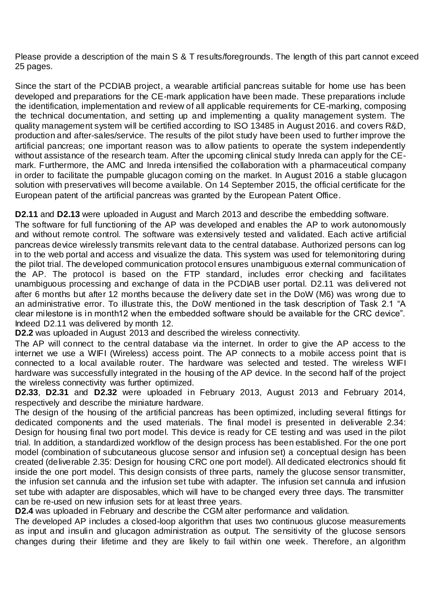Please provide a description of the main S & T results/foregrounds. The length of this part cannot exceed 25 pages.

Since the start of the PCDIAB project, a wearable artificial pancreas suitable for home use has been developed and preparations for the CE-mark application have been made. These preparations include the identification, implementation and review of all applicable requirements for CE-marking, composing the technical documentation, and setting up and implementing a quality management system. The quality management system will be certified according to ISO 13485 in August 2016. and covers R&D, production and after-sales/service. The results of the pilot study have been used to further improve the artificial pancreas; one important reason was to allow patients to operate the system independently without assistance of the research team. After the upcoming clinical study Inreda can apply for the CEmark. Furthermore, the AMC and Inreda intensified the collaboration with a pharmaceutical company in order to facilitate the pumpable glucagon coming on the market. In August 2016 a stable glucagon solution with preservatives will become available. On 14 September 2015, the official certificate for the European patent of the artificial pancreas was granted by the European Patent Office.

**D2.11** and **D2.13** were uploaded in August and March 2013 and describe the embedding software.

The software for full functioning of the AP was developed and enables the AP to work autonomously and without remote control. The software was extensively tested and validated. Each active artificial pancreas device wirelessly transmits relevant data to the central database. Authorized persons can log in to the web portal and access and visualize the data. This system was used for telemonitoring during the pilot trial. The developed communication protocol ensures unambiguous external communication of the AP. The protocol is based on the FTP standard, includes error checking and facilitates unambiguous processing and exchange of data in the PCDIAB user portal. D2.11 was delivered not after 6 months but after 12 months because the delivery date set in the DoW (M6) was wrong due to an administrative error. To illustrate this, the DoW mentioned in the task description of Task 2.1 "A clear milestone is in month12 when the embedded software should be available for the CRC device". Indeed D2.11 was delivered by month 12.

**D2.2** was uploaded in August 2013 and described the wireless connectivity.

The AP will connect to the central database via the internet. In order to give the AP access to the internet we use a WIFI (Wireless) access point. The AP connects to a mobile access point that is connected to a local available router. The hardware was selected and tested. The wireless WIFI hardware was successfully integrated in the housing of the AP device. In the second half of the project the wireless connectivity was further optimized.

**D2.33**, **D2.31** and **D2.32** were uploaded in February 2013, August 2013 and February 2014, respectively and describe the miniature hardware.

The design of the housing of the artificial pancreas has been optimized, including several fittings for dedicated components and the used materials. The final model is presented in deliverable 2.34: Design for housing final two port model. This device is ready for CE testing and was used in the pilot trial. In addition, a standardized workflow of the design process has been established. For the one port model (combination of subcutaneous glucose sensor and infusion set) a conceptual design has been created (deliverable 2.35: Design for housing CRC one port model). All dedicated electronics should fit inside the one port model. This design consists of three parts, namely the glucose sensor transmitter, the infusion set cannula and the infusion set tube with adapter. The infusion set cannula and infusion set tube with adapter are disposables, which will have to be changed every three days. The transmitter can be re-used on new infusion sets for at least three years.

**D2.4** was uploaded in February and describe the CGM alter performance and validation.

The developed AP includes a closed-loop algorithm that uses two continuous glucose measurements as input and insulin and glucagon administration as output. The sensitivity of the glucose sensors changes during their lifetime and they are likely to fail within one week. Therefore, an algorithm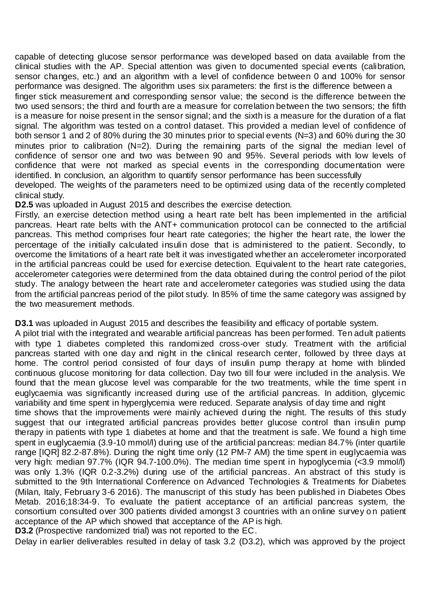capable of detecting glucose sensor performance was developed based on data available from the clinical studies with the AP. Special attention was given to documented special events (calibration, sensor changes, etc.) and an algorithm with a level of confidence between 0 and 100% for sensor performance was designed. The algorithm uses six parameters: the first is the difference between a

finger stick measurement and corresponding sensor value; the second is the difference between the two used sensors; the third and fourth are a measure for correlation between the two sensors; the fifth is a measure for noise present in the sensor signal; and the sixth is a measure for the duration of a flat signal. The algorithm was tested on a control dataset. This provided a median level of confidence of both sensor 1 and 2 of 80% during the 30 minutes prior to special events (N=3) and 60% during the 30 minutes prior to calibration (N=2). During the remaining parts of the signal the median level of confidence of sensor one and two was between 90 and 95%. Several periods with low levels of confidence that were not marked as special events in the corresponding documentation were identified. In conclusion, an algorithm to quantify sensor performance has been successfully

developed. The weights of the parameters need to be optimized using data of the recently completed clinical study.

**D2.5** was uploaded in August 2015 and describes the exercise detection.

Firstly, an exercise detection method using a heart rate belt has been implemented in the artificial pancreas. Heart rate belts with the ANT+ communication protocol can be connected to the artificial pancreas. This method comprises four heart rate categories; the higher the heart rate, the lower the percentage of the initially calculated insulin dose that is administered to the patient. Secondly, to overcome the limitations of a heart rate belt it was investigated whether an accelerometer incorporated in the artificial pancreas could be used for exercise detection. Equivalent to the heart rate categories, accelerometer categories were determined from the data obtained during the control period of the pilot study. The analogy between the heart rate and accelerometer categories was studied using the data from the artificial pancreas period of the pilot study. In 85% of time the same category was assigned by the two measurement methods.

**D3.1** was uploaded in August 2015 and describes the feasibility and efficacy of portable system.

A pilot trial with the integrated and wearable artificial pancreas has been performed. Ten adult patients with type 1 diabetes completed this randomized cross-over study. Treatment with the artificial pancreas started with one day and night in the clinical research center, followed by three days at home. The control period consisted of four days of insulin pump therapy at home with blinded continuous glucose monitoring for data collection. Day two till four were included in the analysis. We found that the mean glucose level was comparable for the two treatments, while the time spent in euglycaemia was significantly increased during use of the artificial pancreas. In addition, glycemic variability and time spent in hyperglycemia were reduced. Separate analysis of day time and night

time shows that the improvements were mainly achieved during the night. The results of this study suggest that our integrated artificial pancreas provides better glucose control than insulin pump therapy in patients with type 1 diabetes at home and that the treatment is safe. We found a high time spent in euglycaemia (3.9-10 mmol/l) during use of the artificial pancreas: median 84.7% (inter quartile range [IQR] 82.2-87.8%). During the night time only (12 PM-7 AM) the time spent in euglycaemia was very high: median 97.7% (IQR 94.7-100.0%). The median time spent in hypoglycemia (<3.9 mmol/l) was only 1.3% (IQR 0.2-3.2%) during use of the artificial pancreas. An abstract of this study is submitted to the 9th International Conference on Advanced Technologies & Treatments for Diabetes (Milan, Italy, February 3-6 2016). The manuscript of this study has been published in Diabetes Obes Metab. 2016;18:34-9. To evaluate the patient acceptance of an artificial pancreas system, the consortium consulted over 300 patients divided amongst 3 countries with an online survey o n patient acceptance of the AP which showed that acceptance of the AP is high.

**D3.2** (Prospective randomized trial) was not reported to the EC.

Delay in earlier deliverables resulted in delay of task 3.2 (D3.2), which was approved by the project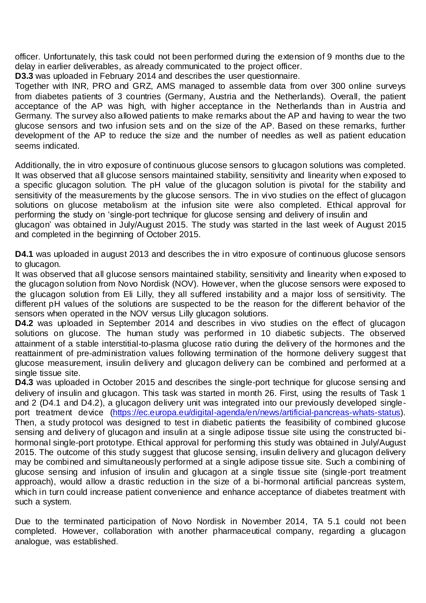officer. Unfortunately, this task could not been performed during the extension of 9 months due to the delay in earlier deliverables, as already communicated to the project officer.

**D3.3** was uploaded in February 2014 and describes the user questionnaire.

Together with INR, PRO and GRZ, AMS managed to assemble data from over 300 online surveys from diabetes patients of 3 countries (Germany, Austria and the Netherlands). Overall, the patient acceptance of the AP was high, with higher acceptance in the Netherlands than in Austria and Germany. The survey also allowed patients to make remarks about the AP and having to wear the two glucose sensors and two infusion sets and on the size of the AP. Based on these remarks, further development of the AP to reduce the size and the number of needles as well as patient education seems indicated.

Additionally, the in vitro exposure of continuous glucose sensors to glucagon solutions was completed. It was observed that all glucose sensors maintained stability, sensitivity and linearity when exposed to a specific glucagon solution. The pH value of the glucagon solution is pivotal for the stability and sensitivity of the measurements by the glucose sensors. The in vivo studies on the effect of glucagon solutions on glucose metabolism at the infusion site were also completed. Ethical approval for performing the study on 'single-port technique for glucose sensing and delivery of insulin and glucagon' was obtained in July/August 2015. The study was started in the last week of August 2015 and completed in the beginning of October 2015.

**D4.1** was uploaded in august 2013 and describes the in vitro exposure of continuous glucose sensors to glucagon.

It was observed that all glucose sensors maintained stability, sensitivity and linearity when exposed to the glucagon solution from Novo Nordisk (NOV). However, when the glucose sensors were exposed to the glucagon solution from Eli Lilly, they all suffered instability and a major loss of sensitivity. The different pH values of the solutions are suspected to be the reason for the different behavior of the sensors when operated in the NOV versus Lilly glucagon solutions.

**D4.2** was uploaded in September 2014 and describes in vivo studies on the effect of glucagon solutions on glucose. The human study was performed in 10 diabetic subjects. The observed attainment of a stable interstitial-to-plasma glucose ratio during the delivery of the hormones and the reattainment of pre-administration values following termination of the hormone delivery suggest that glucose measurement, insulin delivery and glucagon delivery can be combined and performed at a single tissue site.

**D4.3** was uploaded in October 2015 and describes the single-port technique for glucose sensing and delivery of insulin and glucagon. This task was started in month 26. First, using the results of Task 1 and 2 (D4.1 and D4.2), a glucagon delivery unit was integrated into our previously developed single-port treatment device [\(https://ec.europa.eu/digital-agenda/en/news/artificial-pancreas-whats-status\)](https://ec.europa.eu/digital-agenda/en/news/artificial-pancreas-whats-status). Then, a study protocol was designed to test in diabetic patients the feasibility of combined glucose sensing and delivery of glucagon and insulin at a single adipose tissue site using the constructed bihormonal single-port prototype. Ethical approval for performing this study was obtained in July/August 2015. The outcome of this study suggest that glucose sensing, insulin delivery and glucagon delivery may be combined and simultaneously performed at a single adipose tissue site. Such a combining of glucose sensing and infusion of insulin and glucagon at a single tissue site (single-port treatment approach), would allow a drastic reduction in the size of a bi-hormonal artificial pancreas system, which in turn could increase patient convenience and enhance acceptance of diabetes treatment with such a system.

Due to the terminated participation of Novo Nordisk in November 2014, TA 5.1 could not been completed. However, collaboration with another pharmaceutical company, regarding a glucagon analogue, was established.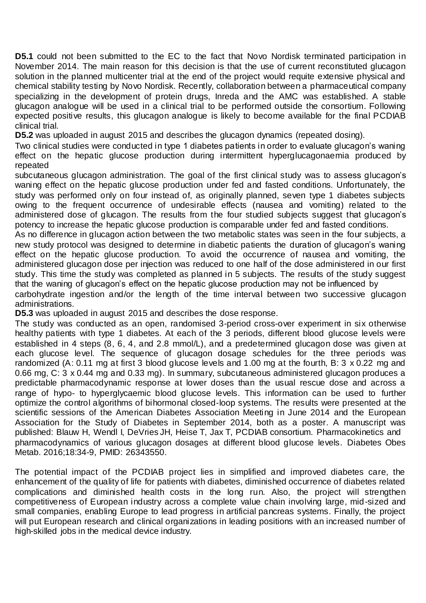**D5.1** could not been submitted to the EC to the fact that Novo Nordisk terminated participation in November 2014. The main reason for this decision is that the use of current reconstituted glucagon solution in the planned multicenter trial at the end of the project would requite extensive physical and chemical stability testing by Novo Nordisk. Recently, collaboration between a pharmaceutical company specializing in the development of protein drugs, Inreda and the AMC was established. A stable glucagon analogue will be used in a clinical trial to be performed outside the consortium. Following expected positive results, this glucagon analogue is likely to become available for the final PCDIAB clinical trial.

**D5.2** was uploaded in august 2015 and describes the glucagon dynamics (repeated dosing).

Two clinical studies were conducted in type 1 diabetes patients in order to evaluate glucagon's waning effect on the hepatic glucose production during intermittent hyperglucagonaemia produced by repeated

subcutaneous glucagon administration. The goal of the first clinical study was to assess glucagon's waning effect on the hepatic glucose production under fed and fasted conditions. Unfortunately, the study was performed only on four instead of, as originally planned, seven type 1 diabetes subjects owing to the frequent occurrence of undesirable effects (nausea and vomiting) related to the administered dose of glucagon. The results from the four studied subjects suggest that glucagon's potency to increase the hepatic glucose production is comparable under fed and fasted conditions.

As no difference in glucagon action between the two metabolic states was seen in the four subjects, a new study protocol was designed to determine in diabetic patients the duration of glucagon's waning effect on the hepatic glucose production. To avoid the occurrence of nausea and vomiting, the administered glucagon dose per injection was reduced to one half of the dose administered in our first study. This time the study was completed as planned in 5 subjects. The results of the study suggest that the waning of glucagon's effect on the hepatic glucose production may not be influenced by

carbohydrate ingestion and/or the length of the time interval between two successive glucagon administrations.

**D5.3** was uploaded in august 2015 and describes the dose response.

The study was conducted as an open, randomised 3-period cross-over experiment in six otherwise healthy patients with type 1 diabetes. At each of the 3 periods, different blood glucose levels were established in 4 steps (8, 6, 4, and 2.8 mmol/L), and a predetermined glucagon dose was given at each glucose level. The sequence of glucagon dosage schedules for the three periods was randomized (A: 0.11 mg at first 3 blood glucose levels and 1.00 mg at the fourth, B: 3 x 0.22 mg and 0.66 mg, C: 3 x 0.44 mg and 0.33 mg). In summary, subcutaneous administered glucagon produces a predictable pharmacodynamic response at lower doses than the usual rescue dose and across a range of hypo- to hyperglycaemic blood glucose levels. This information can be used to further optimize the control algorithms of bihormonal closed-loop systems. The results were presented at the scientific sessions of the American Diabetes Association Meeting in June 2014 and the European Association for the Study of Diabetes in September 2014, both as a poster. A manuscript was published: Blauw H, Wendl I, DeVries JH, Heise T, Jax T, PCDIAB consortium. Pharmacokinetics and pharmacodynamics of various glucagon dosages at different blood glucose levels. Diabetes Obes Metab. 2016;18:34-9, PMID: 26343550.

The potential impact of the PCDIAB project lies in simplified and improved diabetes care, the enhancement of the quality of life for patients with diabetes, diminished occurrence of diabetes related complications and diminished health costs in the long run. Also, the project will strengthen competitiveness of European industry across a complete value chain involving large, mid-sized and small companies, enabling Europe to lead progress in artificial pancreas systems. Finally, the project will put European research and clinical organizations in leading positions with an increased number of high-skilled jobs in the medical device industry.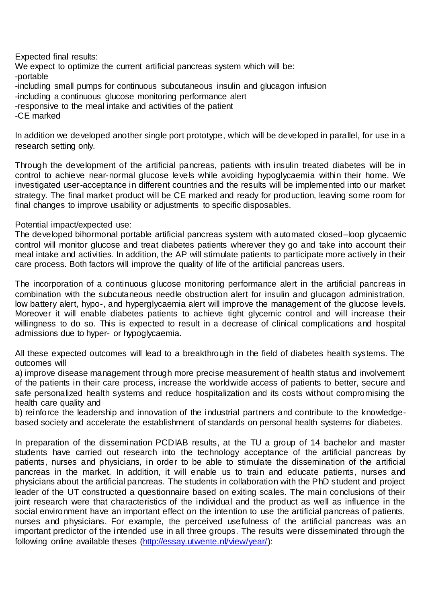Expected final results:

We expect to optimize the current artificial pancreas system which will be: -portable -including small pumps for continuous subcutaneous insulin and glucagon infusion

-including a continuous glucose monitoring performance alert

-responsive to the meal intake and activities of the patient

-CE marked

In addition we developed another single port prototype, which will be developed in parallel, for use in a research setting only.

Through the development of the artificial pancreas, patients with insulin treated diabetes will be in control to achieve near-normal glucose levels while avoiding hypoglycaemia within their home. We investigated user-acceptance in different countries and the results will be implemented into our market strategy. The final market product will be CE marked and ready for production, leaving some room for final changes to improve usability or adjustments to specific disposables.

Potential impact/expected use:

The developed bihormonal portable artificial pancreas system with automated closed–loop glycaemic control will monitor glucose and treat diabetes patients wherever they go and take into account their meal intake and activities. In addition, the AP will stimulate patients to participate more actively in their care process. Both factors will improve the quality of life of the artificial pancreas users.

The incorporation of a continuous glucose monitoring performance alert in the artificial pancreas in combination with the subcutaneous needle obstruction alert for insulin and glucagon administration, low battery alert, hypo-, and hyperglycaemia alert will improve the management of the glucose levels. Moreover it will enable diabetes patients to achieve tight glycemic control and will increase their willingness to do so. This is expected to result in a decrease of clinical complications and hospital admissions due to hyper- or hypoglycaemia.

All these expected outcomes will lead to a breakthrough in the field of diabetes health systems. The outcomes will

a) improve disease management through more precise measurement of health status and involvement of the patients in their care process, increase the worldwide access of patients to better, secure and safe personalized health systems and reduce hospitalization and its costs without compromising the health care quality and

b) reinforce the leadership and innovation of the industrial partners and contribute to the knowledgebased society and accelerate the establishment of standards on personal health systems for diabetes.

In preparation of the dissemination PCDIAB results, at the TU a group of 14 bachelor and master students have carried out research into the technology acceptance of the artificial pancreas by patients, nurses and physicians, in order to be able to stimulate the dissemination of the artificial pancreas in the market. In addition, it will enable us to train and educate patients, nurses and physicians about the artificial pancreas. The students in collaboration with the PhD student and project leader of the UT constructed a questionnaire based on exiting scales. The main conclusions of their joint research were that characteristics of the individual and the product as well as influence in the social environment have an important effect on the intention to use the artificial pancreas of patients, nurses and physicians. For example, the perceived usefulness of the artificial pancreas was an important predictor of the intended use in all three groups. The results were disseminated through the following online available theses [\(http://essay.utwente.nl/view/year/\):](http://essay.utwente.nl/view/year/)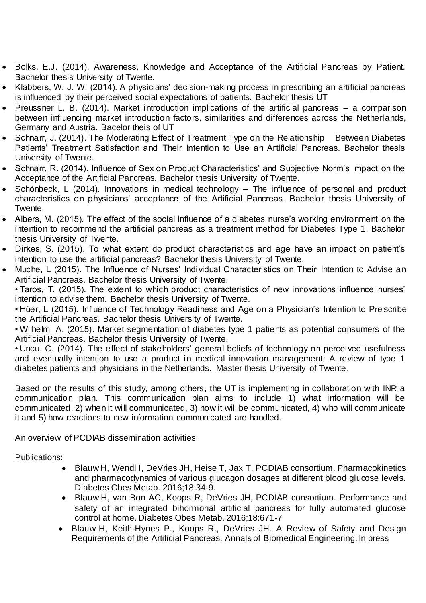- Bolks, E.J. (2014). Awareness, Knowledge and Acceptance of the Artificial Pancreas by Patient. Bachelor thesis University of Twente.
- Klabbers, W. J. W. (2014). A physicians' decision-making process in prescribing an artificial pancreas is influenced by their perceived social expectations of patients. Bachelor thesis UT
- Preussner L. B. (2014). Market introduction implications of the artificial pancreas a comparison between influencing market introduction factors, similarities and differences across the Netherlands, Germany and Austria. Bacelor theis of UT
- Schnarr, J. (2014). The Moderating Effect of Treatment Type on the Relationship Between Diabetes Patients' Treatment Satisfaction and Their Intention to Use an Artificial Pancreas. Bachelor thesis University of Twente.
- Schnarr, R. (2014). Influence of Sex on Product Characteristics' and Subjective Norm's Impact on the Acceptance of the Artificial Pancreas. Bachelor thesis University of Twente.
- Schönbeck, L (2014). Innovations in medical technology The influence of personal and product characteristics on physicians' acceptance of the Artificial Pancreas. Bachelor thesis University of Twente.
- Albers, M. (2015). The effect of the social influence of a diabetes nurse's working environment on the intention to recommend the artificial pancreas as a treatment method for Diabetes Type 1. Bachelor thesis University of Twente.
- Dirkes, S. (2015). To what extent do product characteristics and age have an impact on patient's intention to use the artificial pancreas? Bachelor thesis University of Twente.
- Muche, L (2015). The Influence of Nurses' Individual Characteristics on Their Intention to Advise an Artificial Pancreas. Bachelor thesis University of Twente.

• Taros, T. (2015). The extent to which product characteristics of new innovations influence nurses' intention to advise them. Bachelor thesis University of Twente.

• Hüer, L (2015). Influence of Technology Readiness and Age on a Physician's Intention to Pre scribe the Artificial Pancreas. Bachelor thesis University of Twente.

• Wilhelm, A. (2015). Market segmentation of diabetes type 1 patients as potential consumers of the Artificial Pancreas. Bachelor thesis University of Twente.

• Uncu, C. (2014). The effect of stakeholders' general beliefs of technology on perceived usefulness and eventually intention to use a product in medical innovation management: A review of type 1 diabetes patients and physicians in the Netherlands. Master thesis University of Twente.

Based on the results of this study, among others, the UT is implementing in collaboration with INR a communication plan. This communication plan aims to include 1) what information will be communicated, 2) when it will communicated, 3) how it will be communicated, 4) who will communicate it and 5) how reactions to new information communicated are handled.

An overview of PCDIAB dissemination activities:

Publications:

- *Blauw H, Wendl I, DeVries JH, Heise T, Jax T, PCDIAB consortium. Pharmacokinetics and pharmacodynamics of various glucagon dosages at different blood glucose levels. Diabetes Obes Metab. 2016;18:34-9.*
- *Blauw H, van Bon AC, Koops R, DeVries JH, PCDIAB consortium. Performance and safety of an integrated bihormonal artificial pancreas for fully automated glucose control at home. Diabetes Obes Metab. 2016;18:671-7*
- *Blauw H, Keith-Hynes P., Koops R., DeVries JH. A Review of Safety and Design Requirements of the Artificial Pancreas. Annals of Biomedical Engineering. In press*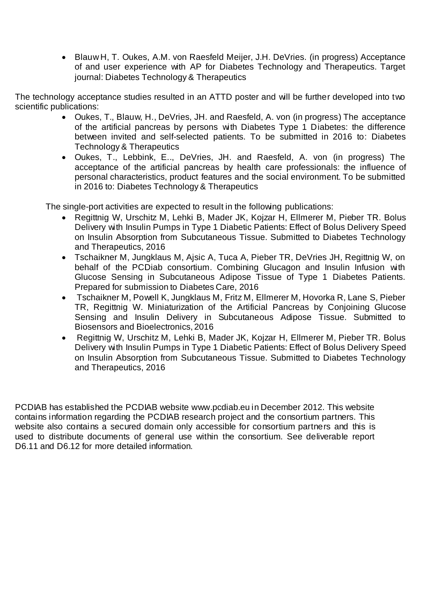*Blauw H, T. Oukes, A.M. von Raesfeld Meijer, J.H. DeVries. (in progress) Acceptance of and user experience with AP for Diabetes Technology and Therapeutics. Target journal: Diabetes Technology & Therapeutics*

*The technology acceptance studies resulted in an ATTD poster and will be further developed into two scientific publications:*

- *Oukes, T., Blauw, H., DeVries, JH. and Raesfeld, A. von (in progress) The acceptance of the artificial pancreas by persons with Diabetes Type 1 Diabetes: the difference between invited and self-selected patients. To be submitted in 2016 to: Diabetes Technology & Therapeutics*
- *Oukes, T., Lebbink, E.., DeVries, JH. and Raesfeld, A. von (in progress) The acceptance of the artificial pancreas by health care professionals: the influence of personal characteristics, product features and the social environment. To be submitted in 2016 to: Diabetes Technology & Therapeutics*

*The single-port activities are expected to result in the following publications:*

- *Regittnig W, Urschitz M, Lehki B, Mader JK, Kojzar H, Ellmerer M, Pieber TR. Bolus Delivery with Insulin Pumps in Type 1 Diabetic Patients: Effect of Bolus Delivery Speed on Insulin Absorption from Subcutaneous Tissue. Submitted to Diabetes Technology and Therapeutics, 2016*
- *Tschaikner M, Jungklaus M, Ajsic A, Tuca A, Pieber TR, DeVries JH, Regittnig W, on behalf of the PCDiab consortium. Combining Glucagon and Insulin Infusion with Glucose Sensing in Subcutaneous Adipose Tissue of Type 1 Diabetes Patients. Prepared for submission to Diabetes Care, 2016*
- *Tschaikner M, Powell K, Jungklaus M, Fritz M, Ellmerer M, Hovorka R, Lane S, Pieber TR, Regittnig W. Miniaturization of the Artificial Pancreas by Conjoining Glucose Sensing and Insulin Delivery in Subcutaneous Adipose Tissue. Submitted to Biosensors and Bioelectronics, 2016*
- *Regittnig W, Urschitz M, Lehki B, Mader JK, Kojzar H, Ellmerer M, Pieber TR. Bolus Delivery with Insulin Pumps in Type 1 Diabetic Patients: Effect of Bolus Delivery Speed on Insulin Absorption from Subcutaneous Tissue. Submitted to Diabetes Technology and Therapeutics, 2016*

PCDIAB has established the PCDIAB website www.pcdiab.eu in December 2012. This website contains information regarding the PCDIAB research project and the consortium partners. This website also contains a secured domain only accessible for consortium partners and this is used to distribute documents of general use within the consortium. See deliverable report D6.11 and D6.12 for more detailed information.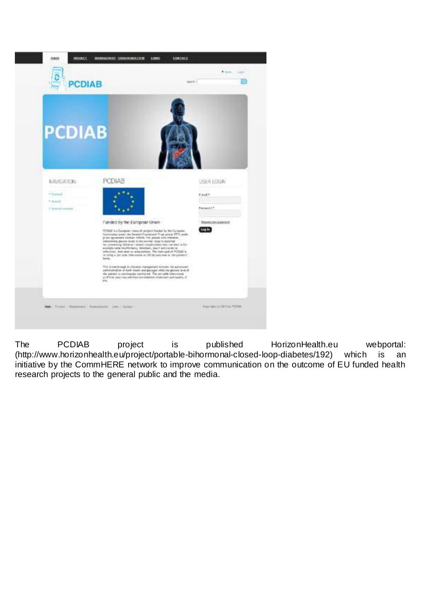

The PCDIAB project is published HorizonHealth.eu webportal: (http://www.horizonhealth.eu/project/portable-bihormonal-closed-loop-diabetes/192) which is an initiative by the CommHERE network to improve communication on the outcome of EU funded health research projects to the general public and the media.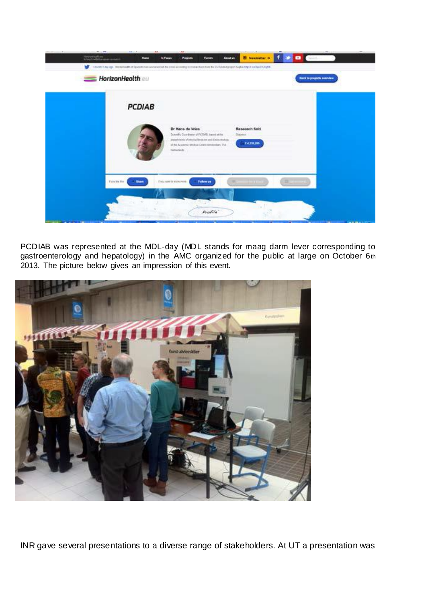

PCDIAB was represented at the MDL-day (MDL stands for maag darm lever corresponding to gastroenterology and hepatology) in the AMC organized for the public at large on October 6th 2013. The picture below gives an impression of this event.



INR gave several presentations to a diverse range of stakeholders. At UT a presentation was